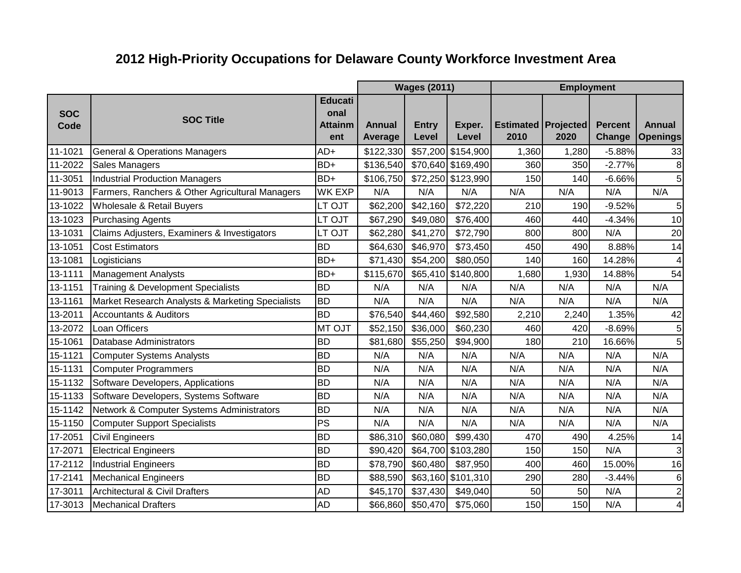## **2012 High-Priority Occupations for Delaware County Workforce Investment Area**

|                    |                                                  |                                                 |                          | <b>Wages (2011)</b>   |                    |                                        | <b>Employment</b> |                          |                                  |
|--------------------|--------------------------------------------------|-------------------------------------------------|--------------------------|-----------------------|--------------------|----------------------------------------|-------------------|--------------------------|----------------------------------|
| <b>SOC</b><br>Code | <b>SOC Title</b>                                 | <b>Educati</b><br>onal<br><b>Attainm</b><br>ent | Annual<br><b>Average</b> | <b>Entry</b><br>Level | Exper.<br>Level    | <b>Estimated   Projected  </b><br>2010 | 2020              | <b>Percent</b><br>Change | <b>Annual</b><br><b>Openings</b> |
| 11-1021            | <b>General &amp; Operations Managers</b>         | AD+                                             | \$122,330                |                       | \$57,200 \$154,900 | 1,360                                  | 1,280             | $-5.88%$                 | 33                               |
| 11-2022            | <b>Sales Managers</b>                            | BD+                                             | \$136,540                |                       | \$70,640 \$169,490 | 360                                    | 350               | $-2.77%$                 | 8                                |
| 11-3051            | Industrial Production Managers                   | BD+                                             | \$106,750                |                       | \$72,250 \$123,990 | 150                                    | 140               | $-6.66%$                 | 5                                |
| 11-9013            | Farmers, Ranchers & Other Agricultural Managers  | <b>WK EXP</b>                                   | N/A                      | N/A                   | N/A                | N/A                                    | N/A               | N/A                      | N/A                              |
| 13-1022            | Wholesale & Retail Buyers                        | LT OJT                                          | \$62,200                 | \$42,160              | \$72,220           | 210                                    | 190               | $-9.52%$                 | 5                                |
| 13-1023            | Purchasing Agents                                | LT OJT                                          | \$67,290                 | \$49,080              | \$76,400           | 460                                    | 440               | $-4.34%$                 | 10                               |
| 13-1031            | Claims Adjusters, Examiners & Investigators      | LT OJT                                          | \$62,280                 | \$41,270              | \$72,790           | 800                                    | 800               | N/A                      | 20                               |
| 13-1051            | <b>Cost Estimators</b>                           | <b>BD</b>                                       | \$64,630                 | \$46,970              | \$73,450           | 450                                    | 490               | 8.88%                    | 14                               |
| 13-1081            | Logisticians                                     | BD+                                             | \$71,430                 | \$54,200              | \$80,050           | 140                                    | 160               | 14.28%                   | 4                                |
| 13-1111            | Management Analysts                              | BD+                                             | \$115,670                |                       | \$65,410 \$140,800 | 1,680                                  | 1,930             | 14.88%                   | 54                               |
| 13-1151            | <b>Training &amp; Development Specialists</b>    | <b>BD</b>                                       | N/A                      | N/A                   | N/A                | N/A                                    | N/A               | N/A                      | N/A                              |
| 13-1161            | Market Research Analysts & Marketing Specialists | <b>BD</b>                                       | N/A                      | N/A                   | N/A                | N/A                                    | N/A               | N/A                      | N/A                              |
| 13-2011            | <b>Accountants &amp; Auditors</b>                | <b>BD</b>                                       | \$76,540                 | \$44,460              | \$92,580           | 2,210                                  | 2,240             | 1.35%                    | 42                               |
| 13-2072            | Loan Officers                                    | MT OJT                                          | \$52,150                 | \$36,000              | \$60,230           | 460                                    | 420               | $-8.69%$                 | 5                                |
| 15-1061            | Database Administrators                          | <b>BD</b>                                       | \$81,680                 | \$55,250              | \$94,900           | 180                                    | 210               | 16.66%                   | 5                                |
| 15-1121            | Computer Systems Analysts                        | <b>BD</b>                                       | N/A                      | N/A                   | N/A                | N/A                                    | N/A               | N/A                      | N/A                              |
| 15-1131            | Computer Programmers                             | <b>BD</b>                                       | N/A                      | N/A                   | N/A                | N/A                                    | N/A               | N/A                      | N/A                              |
| 15-1132            | Software Developers, Applications                | <b>BD</b>                                       | N/A                      | N/A                   | N/A                | N/A                                    | N/A               | N/A                      | N/A                              |
| 15-1133            | Software Developers, Systems Software            | <b>BD</b>                                       | N/A                      | N/A                   | N/A                | N/A                                    | N/A               | N/A                      | N/A                              |
| 15-1142            | Network & Computer Systems Administrators        | <b>BD</b>                                       | N/A                      | N/A                   | N/A                | N/A                                    | N/A               | N/A                      | N/A                              |
| 15-1150            | Computer Support Specialists                     | PS                                              | N/A                      | N/A                   | N/A                | N/A                                    | N/A               | N/A                      | N/A                              |
| 17-2051            | Civil Engineers                                  | <b>BD</b>                                       | \$86,310                 | \$60,080              | \$99,430           | 470                                    | 490               | 4.25%                    | 14                               |
| 17-2071            | <b>Electrical Engineers</b>                      | <b>BD</b>                                       | \$90,420                 |                       | \$64,700 \$103,280 | 150                                    | 150               | N/A                      | 3                                |
| 17-2112            | Industrial Engineers                             | <b>BD</b>                                       | \$78,790                 | \$60,480              | \$87,950           | 400                                    | 460               | 15.00%                   | 16                               |
| 17-2141            | <b>Mechanical Engineers</b>                      | <b>BD</b>                                       | \$88,590                 |                       | \$63,160 \$101,310 | 290                                    | 280               | $-3.44%$                 | 6                                |
| 17-3011            | Architectural & Civil Drafters                   | <b>AD</b>                                       | \$45,170                 | \$37,430              | \$49,040           | 50                                     | 50                | N/A                      | $\overline{\mathbf{c}}$          |
| 17-3013            | <b>Mechanical Drafters</b>                       | <b>AD</b>                                       | \$66,860                 | \$50,470              | \$75,060           | 150                                    | 150               | N/A                      | 4                                |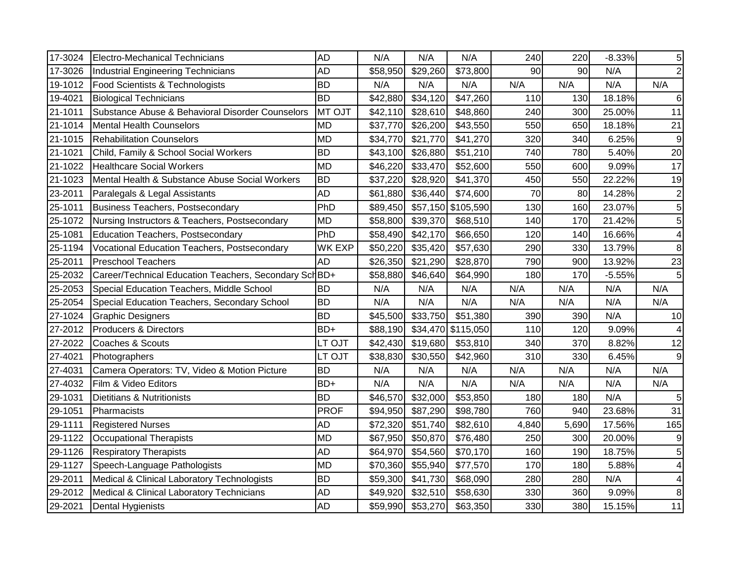| 17-3024 | Electro-Mechanical Technicians                         | <b>AD</b>   | N/A      | N/A      | N/A                | 240   | 220   | $-8.33%$ | 5                          |
|---------|--------------------------------------------------------|-------------|----------|----------|--------------------|-------|-------|----------|----------------------------|
| 17-3026 | Industrial Engineering Technicians                     | <b>AD</b>   | \$58,950 | \$29,260 | \$73,800           | 90    | 90    | N/A      | $2\vert$                   |
| 19-1012 | Food Scientists & Technologists                        | <b>BD</b>   | N/A      | N/A      | N/A                | N/A   | N/A   | N/A      | N/A                        |
| 19-4021 | <b>Biological Technicians</b>                          | <b>BD</b>   | \$42,880 | \$34,120 | \$47,260           | 110   | 130   | 18.18%   | $\,6$                      |
| 21-1011 | Substance Abuse & Behavioral Disorder Counselors       | MT OJT      | \$42,110 | \$28,610 | \$48,860           | 240   | 300   | 25.00%   | 11                         |
| 21-1014 | Mental Health Counselors                               | <b>MD</b>   | \$37,770 | \$26,200 | \$43,550           | 550   | 650   | 18.18%   | 21                         |
| 21-1015 | <b>Rehabilitation Counselors</b>                       | <b>MD</b>   | \$34,770 | \$21,770 | \$41,270           | 320   | 340   | 6.25%    | $\boldsymbol{9}$           |
| 21-1021 | Child, Family & School Social Workers                  | <b>BD</b>   | \$43,100 | \$26,880 | \$51,210           | 740   | 780   | 5.40%    | 20                         |
| 21-1022 | <b>Healthcare Social Workers</b>                       | <b>MD</b>   | \$46,220 | \$33,470 | \$52,600           | 550   | 600   | 9.09%    | 17                         |
| 21-1023 | Mental Health & Substance Abuse Social Workers         | <b>BD</b>   | \$37,220 | \$28,920 | \$41,370           | 450   | 550   | 22.22%   | 19                         |
| 23-2011 | Paralegals & Legal Assistants                          | <b>AD</b>   | \$61,880 | \$36,440 | \$74,600           | 70    | 80    | 14.28%   | $\mathbf 2$                |
| 25-1011 | Business Teachers, Postsecondary                       | PhD         | \$89,450 |          | \$57,150 \$105,590 | 130   | 160   | 23.07%   | $\overline{5}$             |
| 25-1072 | Nursing Instructors & Teachers, Postsecondary          | <b>MD</b>   | \$58,800 | \$39,370 | \$68,510           | 140   | 170   | 21.42%   | $\overline{5}$             |
| 25-1081 | Education Teachers, Postsecondary                      | PhD         | \$58,490 | \$42,170 | \$66,650           | 120   | 140   | 16.66%   | 4                          |
| 25-1194 | Vocational Education Teachers, Postsecondary           | WK EXP      | \$50,220 | \$35,420 | \$57,630           | 290   | 330   | 13.79%   | $\bf 8$                    |
| 25-2011 | <b>Preschool Teachers</b>                              | <b>AD</b>   | \$26,350 | \$21,290 | \$28,870           | 790   | 900   | 13.92%   | 23                         |
| 25-2032 | Career/Technical Education Teachers, Secondary Sch BD+ |             | \$58,880 | \$46,640 | \$64,990           | 180   | 170   | $-5.55%$ | 5                          |
|         |                                                        |             |          |          |                    |       |       |          |                            |
| 25-2053 | Special Education Teachers, Middle School              | <b>BD</b>   | N/A      | N/A      | N/A                | N/A   | N/A   | N/A      | N/A                        |
| 25-2054 | Special Education Teachers, Secondary School           | <b>BD</b>   | N/A      | N/A      | N/A                | N/A   | N/A   | N/A      | N/A                        |
| 27-1024 | Graphic Designers                                      | <b>BD</b>   | \$45,500 | \$33,750 | \$51,380           | 390   | 390   | N/A      | 10                         |
| 27-2012 | Producers & Directors                                  | BD+         | \$88,190 |          | \$34,470 \$115,050 | 110   | 120   | 9.09%    | 4                          |
| 27-2022 | Coaches & Scouts                                       | LT OJT      | \$42,430 | \$19,680 | \$53,810           | 340   | 370   | 8.82%    |                            |
| 27-4021 | Photographers                                          | LT OJT      | \$38,830 | \$30,550 | \$42,960           | 310   | 330   | 6.45%    |                            |
| 27-4031 | Camera Operators: TV, Video & Motion Picture           | <b>BD</b>   | N/A      | N/A      | N/A                | N/A   | N/A   | N/A      | N/A                        |
| 27-4032 | Film & Video Editors                                   | BD+         | N/A      | N/A      | N/A                | N/A   | N/A   | N/A      | 12<br> 9 <br>N/A           |
| 29-1031 | Dietitians & Nutritionists                             | <b>BD</b>   | \$46,570 | \$32,000 | \$53,850           | 180   | 180   | N/A      | $\sqrt{5}$                 |
| 29-1051 | Pharmacists                                            | <b>PROF</b> | \$94,950 | \$87,290 | \$98,780           | 760   | 940   | 23.68%   | 31                         |
| 29-1111 | <b>Registered Nurses</b>                               | <b>AD</b>   | \$72,320 | \$51,740 | \$82,610           | 4,840 | 5,690 | 17.56%   | 165                        |
| 29-1122 | Occupational Therapists                                | <b>MD</b>   | \$67,950 | \$50,870 | \$76,480           | 250   | 300   | 20.00%   |                            |
| 29-1126 | <b>Respiratory Therapists</b>                          | <b>AD</b>   | \$64,970 | \$54,560 | \$70,170           | 160   | 190   | 18.75%   | $\sqrt{5}$                 |
| 29-1127 | Speech-Language Pathologists                           | <b>MD</b>   | \$70,360 | \$55,940 | \$77,570           | 170   | 180   | 5.88%    | 4                          |
| 29-2011 | Medical & Clinical Laboratory Technologists            | <b>BD</b>   | \$59,300 | \$41,730 | \$68,090           | 280   | 280   | N/A      | 4                          |
| 29-2012 | Medical & Clinical Laboratory Technicians              | <b>AD</b>   | \$49,920 | \$32,510 | \$58,630           | 330   | 360   | 9.09%    | $\boldsymbol{9}$<br>$\bf8$ |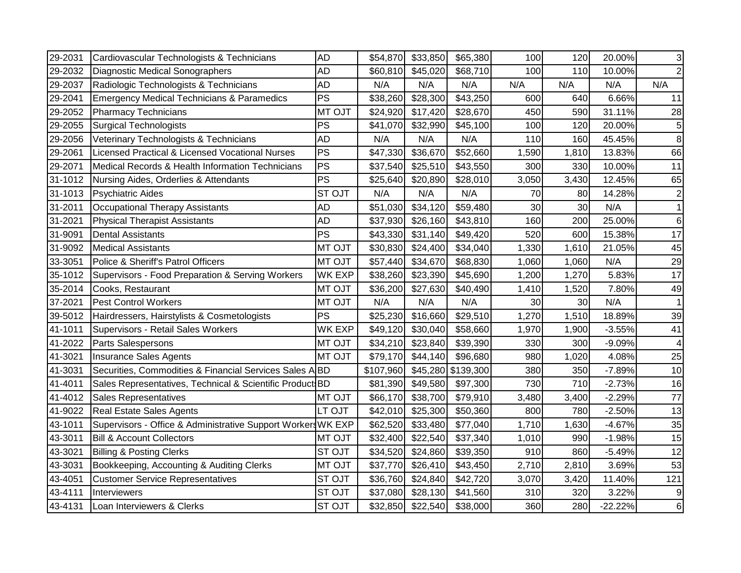| 29-2031 | Cardiovascular Technologists & Technicians                   | <b>AD</b>     | \$54,870  | \$33,850 | \$65,380  | 100   | 120             | 20.00%    | 3   |
|---------|--------------------------------------------------------------|---------------|-----------|----------|-----------|-------|-----------------|-----------|-----|
| 29-2032 | <b>Diagnostic Medical Sonographers</b>                       | <b>AD</b>     | \$60,810  | \$45,020 | \$68,710  | 100   | 110             | 10.00%    | 2   |
| 29-2037 | Radiologic Technologists & Technicians                       | <b>AD</b>     | N/A       | N/A      | N/A       | N/A   | N/A             | N/A       | N/A |
| 29-2041 | <b>Emergency Medical Technicians &amp; Paramedics</b>        | PS            | \$38,260  | \$28,300 | \$43,250  | 600   | 640             | 6.66%     | 11  |
| 29-2052 | <b>Pharmacy Technicians</b>                                  | MT OJT        | \$24,920  | \$17,420 | \$28,670  | 450   | 590             | 31.11%    | 28  |
| 29-2055 | <b>Surgical Technologists</b>                                | PS            | \$41,070  | \$32,990 | \$45,100  | 100   | 120             | 20.00%    | 5   |
| 29-2056 | Veterinary Technologists & Technicians                       | <b>AD</b>     | N/A       | N/A      | N/A       | 110   | 160             | 45.45%    | 8   |
| 29-2061 | Licensed Practical & Licensed Vocational Nurses              | PS            | \$47,330  | \$36,670 | \$52,660  | 1,590 | 1,810           | 13.83%    | 66  |
| 29-2071 | Medical Records & Health Information Technicians             | PS            | \$37,540  | \$25,510 | \$43,550  | 300   | 330             | 10.00%    | 11  |
| 31-1012 | Nursing Aides, Orderlies & Attendants                        | <b>PS</b>     | \$25,640  | \$20,890 | \$28,010  | 3,050 | 3,430           | 12.45%    | 65  |
| 31-1013 | Psychiatric Aides                                            | <b>ST OJT</b> | N/A       | N/A      | N/A       | 70    | 80              | 14.28%    |     |
| 31-2011 | Occupational Therapy Assistants                              | <b>AD</b>     | \$51,030  | \$34,120 | \$59,480  | 30    | 30 <sup>°</sup> | N/A       |     |
| 31-2021 | <b>Physical Therapist Assistants</b>                         | <b>AD</b>     | \$37,930  | \$26,160 | \$43,810  | 160   | 200             | 25.00%    | 6   |
| 31-9091 | <b>Dental Assistants</b>                                     | PS            | \$43,330  | \$31,140 | \$49,420  | 520   | 600             | 15.38%    | 17  |
| 31-9092 | <b>Medical Assistants</b>                                    | MT OJT        | \$30,830  | \$24,400 | \$34,040  | 1,330 | 1,610           | 21.05%    | 45  |
| 33-3051 | Police & Sheriff's Patrol Officers                           | MT OJT        | \$57,440  | \$34,670 | \$68,830  | 1,060 | 1,060           | N/A       | 29  |
| 35-1012 | Supervisors - Food Preparation & Serving Workers             | <b>WK EXP</b> | \$38,260  | \$23,390 | \$45,690  | 1,200 | 1,270           | 5.83%     | 17  |
| 35-2014 | Cooks, Restaurant                                            | MT OJT        | \$36,200  | \$27,630 | \$40,490  | 1,410 | 1,520           | 7.80%     | 49  |
| 37-2021 | <b>Pest Control Workers</b>                                  | MT OJT        | N/A       | N/A      | N/A       | 30    | 30 <sup>°</sup> | N/A       |     |
| 39-5012 | Hairdressers, Hairstylists & Cosmetologists                  | PS            | \$25,230  | \$16,660 | \$29,510  | 1,270 | 1,510           | 18.89%    | 39  |
| 41-1011 | Supervisors - Retail Sales Workers                           | WK EXP        | \$49,120  | \$30,040 | \$58,660  | 1,970 | 1,900           | $-3.55%$  | 41  |
| 41-2022 | <b>Parts Salespersons</b>                                    | <b>MT OJT</b> | \$34,210  | \$23,840 | \$39,390  | 330   | 300             | $-9.09%$  |     |
| 41-3021 | <b>Insurance Sales Agents</b>                                | MT OJT        | \$79,170  | \$44,140 | \$96,680  | 980   | 1,020           | 4.08%     | 25  |
| 41-3031 | Securities, Commodities & Financial Services Sales ABD       |               | \$107,960 | \$45,280 | \$139,300 | 380   | 350             | $-7.89%$  | 10  |
| 41-4011 | Sales Representatives, Technical & Scientific Product BD     |               | \$81,390  | \$49,580 | \$97,300  | 730   | 710             | $-2.73%$  | 16  |
| 41-4012 | <b>Sales Representatives</b>                                 | MT OJT        | \$66,170  | \$38,700 | \$79,910  | 3,480 | 3,400           | $-2.29%$  | 77  |
| 41-9022 | Real Estate Sales Agents                                     | LT OJT        | \$42,010  | \$25,300 | \$50,360  | 800   | 780             | $-2.50%$  | 13  |
| 43-1011 | Supervisors - Office & Administrative Support Workers WK EXP |               | \$62,520  | \$33,480 | \$77,040  | 1,710 | 1,630           | $-4.67%$  | 35  |
| 43-3011 | <b>Bill &amp; Account Collectors</b>                         | MT OJT        | \$32,400  | \$22,540 | \$37,340  | 1,010 | 990             | $-1.98%$  | 15  |
| 43-3021 | <b>Billing &amp; Posting Clerks</b>                          | <b>STOJT</b>  | \$34,520  | \$24,860 | \$39,350  | 910   | 860             | $-5.49%$  | 12  |
| 43-3031 | Bookkeeping, Accounting & Auditing Clerks                    | MT OJT        | \$37,770  | \$26,410 | \$43,450  | 2,710 | 2,810           | 3.69%     | 53  |
| 43-4051 | <b>Customer Service Representatives</b>                      | <b>STOJT</b>  | \$36,760  | \$24,840 | \$42,720  | 3,070 | 3,420           | 11.40%    | 121 |
| 43-4111 | Interviewers                                                 | <b>STOJT</b>  | \$37,080  | \$28,130 | \$41,560  | 310   | 320             | 3.22%     | 9   |
| 43-4131 | Loan Interviewers & Clerks                                   | <b>STOJT</b>  | \$32,850  | \$22,540 | \$38,000  | 360   | 280             | $-22.22%$ | 6   |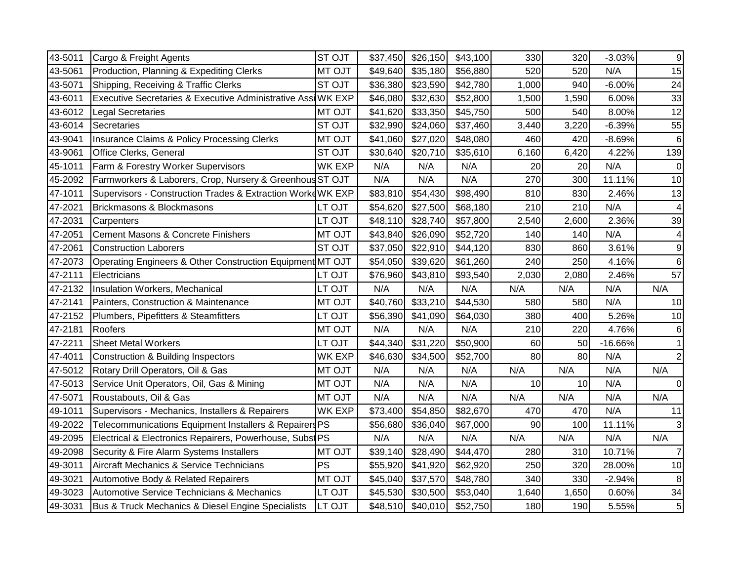| 43-5011 | Cargo & Freight Agents                                       | ST OJT        | \$37,450 | \$26,150 | \$43,100 | 330   | 320   | $-3.03%$  | $\boldsymbol{9}$ |
|---------|--------------------------------------------------------------|---------------|----------|----------|----------|-------|-------|-----------|------------------|
| 43-5061 | Production, Planning & Expediting Clerks                     | <b>MT OJT</b> | \$49,640 | \$35,180 | \$56,880 | 520   | 520   | N/A       | 15               |
| 43-5071 | Shipping, Receiving & Traffic Clerks                         | ST OJT        | \$36,380 | \$23,590 | \$42,780 | 1,000 | 940   | $-6.00%$  | 24               |
| 43-6011 | Executive Secretaries & Executive Administrative Assi WK EXP |               | \$46,080 | \$32,630 | \$52,800 | 1,500 | 1,590 | 6.00%     | 33               |
| 43-6012 | Legal Secretaries                                            | <b>MT OJT</b> | \$41,620 | \$33,350 | \$45,750 | 500   | 540   | 8.00%     | 12               |
| 43-6014 | Secretaries                                                  | ST OJT        | \$32,990 | \$24,060 | \$37,460 | 3,440 | 3,220 | $-6.39%$  | 55               |
| 43-9041 | <b>Insurance Claims &amp; Policy Processing Clerks</b>       | <b>MT OJT</b> | \$41,060 | \$27,020 | \$48,080 | 460   | 420   | $-8.69%$  | $\,6$            |
| 43-9061 | Office Clerks, General                                       | ST OJT        | \$30,640 | \$20,710 | \$35,610 | 6,160 | 6,420 | 4.22%     | 139              |
| 45-1011 | Farm & Forestry Worker Supervisors                           | <b>WK EXP</b> | N/A      | N/A      | N/A      | 20    | 20    | N/A       | $\overline{0}$   |
| 45-2092 | Farmworkers & Laborers, Crop, Nursery & Greenhous ST OJT     |               | N/A      | N/A      | N/A      | 270   | 300   | 11.11%    | 10               |
| 47-1011 | Supervisors - Construction Trades & Extraction Worke WK EXP  |               | \$83,810 | \$54,430 | \$98,490 | 810   | 830   | 2.46%     | 13               |
| 47-2021 | Brickmasons & Blockmasons                                    | LT OJT        | \$54,620 | \$27,500 | \$68,180 | 210   | 210   | N/A       | 4                |
| 47-2031 | Carpenters                                                   | LT OJT        | \$48,110 | \$28,740 | \$57,800 | 2,540 | 2,600 | 2.36%     | 39               |
| 47-2051 | <b>Cement Masons &amp; Concrete Finishers</b>                | <b>MT OJT</b> | \$43,840 | \$26,090 | \$52,720 | 140   | 140   | N/A       | 4                |
| 47-2061 | <b>Construction Laborers</b>                                 | ST OJT        | \$37,050 | \$22,910 | \$44,120 | 830   | 860   | 3.61%     | $\boldsymbol{9}$ |
| 47-2073 | Operating Engineers & Other Construction Equipment MT OJT    |               | \$54,050 | \$39,620 | \$61,260 | 240   | 250   | 4.16%     | $\,6$            |
| 47-2111 | Electricians                                                 | LT OJT        | \$76,960 | \$43,810 | \$93,540 | 2,030 | 2,080 | 2.46%     | 57               |
| 47-2132 | Insulation Workers, Mechanical                               | LT OJT        | N/A      | N/A      | N/A      | N/A   | N/A   | N/A       | N/A              |
| 47-2141 | Painters, Construction & Maintenance                         | MT OJT        | \$40,760 | \$33,210 | \$44,530 | 580   | 580   | N/A       | 10               |
| 47-2152 | Plumbers, Pipefitters & Steamfitters                         | LT OJT        | \$56,390 | \$41,090 | \$64,030 | 380   | 400   | 5.26%     | 10               |
| 47-2181 | Roofers                                                      | <b>MT OJT</b> | N/A      | N/A      | N/A      | 210   | 220   | 4.76%     | $\,6$            |
| 47-2211 | <b>Sheet Metal Workers</b>                                   | LT OJT        | \$44,340 | \$31,220 | \$50,900 | 60    | 50    | $-16.66%$ | $\mathbf{1}$     |
| 47-4011 | Construction & Building Inspectors                           | <b>WK EXP</b> | \$46,630 | \$34,500 | \$52,700 | 80    | 80    | N/A       | $2\vert$         |
| 47-5012 | Rotary Drill Operators, Oil & Gas                            | MT OJT        | N/A      | N/A      | N/A      | N/A   | N/A   | N/A       | N/A              |
| 47-5013 | Service Unit Operators, Oil, Gas & Mining                    | MT OJT        | N/A      | N/A      | N/A      | 10    | 10    | N/A       | $\overline{0}$   |
| 47-5071 | Roustabouts, Oil & Gas                                       | MT OJT        | N/A      | N/A      | N/A      | N/A   | N/A   | N/A       | N/A              |
| 49-1011 | Supervisors - Mechanics, Installers & Repairers              | <b>WK EXP</b> | \$73,400 | \$54,850 | \$82,670 | 470   | 470   | N/A       | 11               |
| 49-2022 | Telecommunications Equipment Installers & Repairers PS       |               | \$56,680 | \$36,040 | \$67,000 | 90    | 100   | 11.11%    | 3                |
| 49-2095 | Electrical & Electronics Repairers, Powerhouse, SubstPS      |               | N/A      | N/A      | N/A      | N/A   | N/A   | N/A       | N/A              |
|         |                                                              |               |          |          | \$44,470 | 280   | 310   | 10.71%    | $\overline{7}$   |
| 49-2098 | Security & Fire Alarm Systems Installers                     | MT OJT        | \$39,140 | \$28,490 |          |       |       |           |                  |
| 49-3011 | Aircraft Mechanics & Service Technicians                     | PS            | \$55,920 | \$41,920 | \$62,920 | 250   | 320   | 28.00%    |                  |
| 49-3021 | Automotive Body & Related Repairers                          | MT OJT        | \$45,040 | \$37,570 | \$48,780 | 340   | 330   | $-2.94%$  | 10<br>8          |
| 49-3023 | <b>Automotive Service Technicians &amp; Mechanics</b>        | LT OJT        | \$45,530 | \$30,500 | \$53,040 | 1,640 | 1,650 | 0.60%     | 34<br>5          |